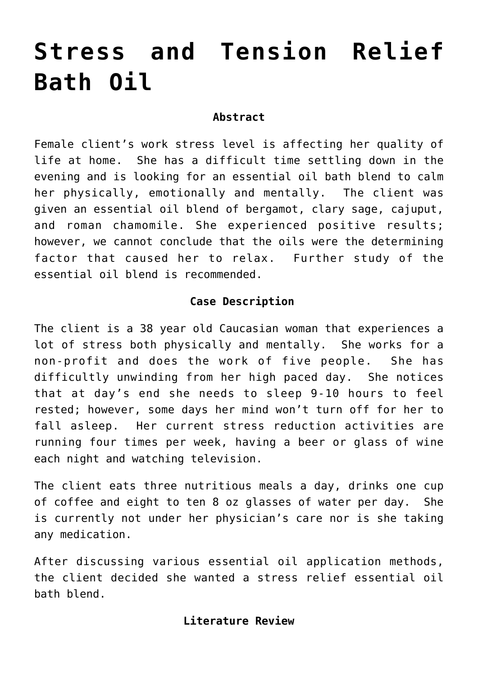# **[Stress and Tension Relief](http://michaelspackman.com/recipe/stress-and-tension-relief-bath-oil/) [Bath Oil](http://michaelspackman.com/recipe/stress-and-tension-relief-bath-oil/)**

#### **Abstract**

Female client's work stress level is affecting her quality of life at home. She has a difficult time settling down in the evening and is looking for an essential oil bath blend to calm her physically, emotionally and mentally. The client was given an essential oil blend of bergamot, clary sage, cajuput, and roman chamomile. She experienced positive results; however, we cannot conclude that the oils were the determining factor that caused her to relax. Further study of the essential oil blend is recommended.

## **Case Description**

The client is a 38 year old Caucasian woman that experiences a lot of stress both physically and mentally. She works for a non-profit and does the work of five people. She has difficultly unwinding from her high paced day. She notices that at day's end she needs to sleep 9-10 hours to feel rested; however, some days her mind won't turn off for her to fall asleep. Her current stress reduction activities are running four times per week, having a beer or glass of wine each night and watching television.

The client eats three nutritious meals a day, drinks one cup of coffee and eight to ten 8 oz glasses of water per day. She is currently not under her physician's care nor is she taking any medication.

After discussing various essential oil application methods, the client decided she wanted a stress relief essential oil bath blend.

## **Literature Review**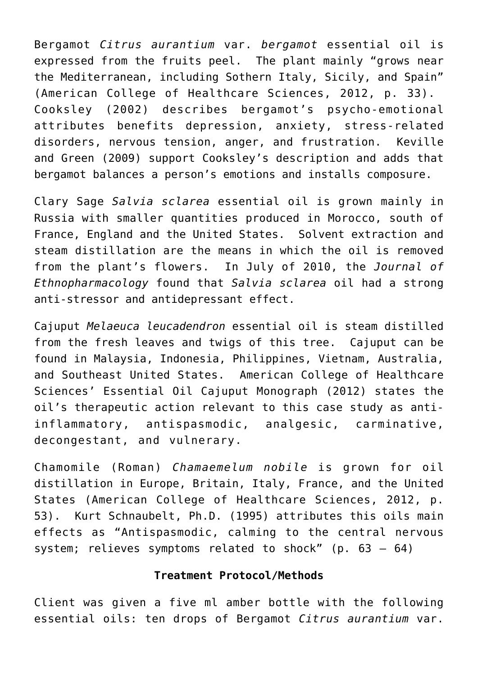Bergamot *Citrus aurantium* var. *bergamot* essential oil is expressed from the fruits peel. The plant mainly "grows near the Mediterranean, including Sothern Italy, Sicily, and Spain" (American College of Healthcare Sciences, 2012, p. 33). Cooksley (2002) describes bergamot's psycho-emotional attributes benefits depression, anxiety, stress-related disorders, nervous tension, anger, and frustration. Keville and Green (2009) support Cooksley's description and adds that bergamot balances a person's emotions and installs composure.

Clary Sage *Salvia sclarea* essential oil is grown mainly in Russia with smaller quantities produced in Morocco, south of France, England and the United States. Solvent extraction and steam distillation are the means in which the oil is removed from the plant's flowers. In July of 2010, the *Journal of Ethnopharmacology* found that *Salvia sclarea* oil had a strong anti-stressor and antidepressant effect.

Cajuput *Melaeuca leucadendron* essential oil is steam distilled from the fresh leaves and twigs of this tree. Cajuput can be found in Malaysia, Indonesia, Philippines, Vietnam, Australia, and Southeast United States. American College of Healthcare Sciences' Essential Oil Cajuput Monograph (2012) states the oil's therapeutic action relevant to this case study as antiinflammatory, antispasmodic, analgesic, carminative, decongestant, and vulnerary.

Chamomile (Roman) *Chamaemelum nobile* is grown for oil distillation in Europe, Britain, Italy, France, and the United States (American College of Healthcare Sciences, 2012, p. 53). Kurt Schnaubelt, Ph.D. (1995) attributes this oils main effects as "Antispasmodic, calming to the central nervous system; relieves symptoms related to shock" (p. 63 – 64)

#### **Treatment Protocol/Methods**

Client was given a five ml amber bottle with the following essential oils: ten drops of Bergamot *Citrus aurantium* var.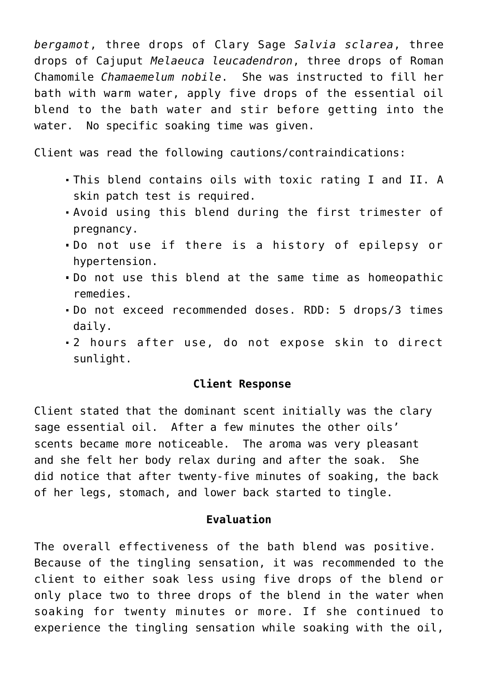*bergamot*, three drops of Clary Sage *Salvia sclarea*, three drops of Cajuput *Melaeuca leucadendron*, three drops of Roman Chamomile *Chamaemelum nobile*. She was instructed to fill her bath with warm water, apply five drops of the essential oil blend to the bath water and stir before getting into the water. No specific soaking time was given.

Client was read the following cautions/contraindications:

- This blend contains oils with toxic rating I and II. A skin patch test is required.
- Avoid using this blend during the first trimester of pregnancy.
- Do not use if there is a history of epilepsy or hypertension.
- Do not use this blend at the same time as homeopathic remedies.
- Do not exceed recommended doses. RDD: 5 drops/3 times daily.
- 2 hours after use, do not expose skin to direct sunlight.

### **Client Response**

Client stated that the dominant scent initially was the clary sage essential oil. After a few minutes the other oils' scents became more noticeable. The aroma was very pleasant and she felt her body relax during and after the soak. She did notice that after twenty-five minutes of soaking, the back of her legs, stomach, and lower back started to tingle.

#### **Evaluation**

The overall effectiveness of the bath blend was positive. Because of the tingling sensation, it was recommended to the client to either soak less using five drops of the blend or only place two to three drops of the blend in the water when soaking for twenty minutes or more. If she continued to experience the tingling sensation while soaking with the oil,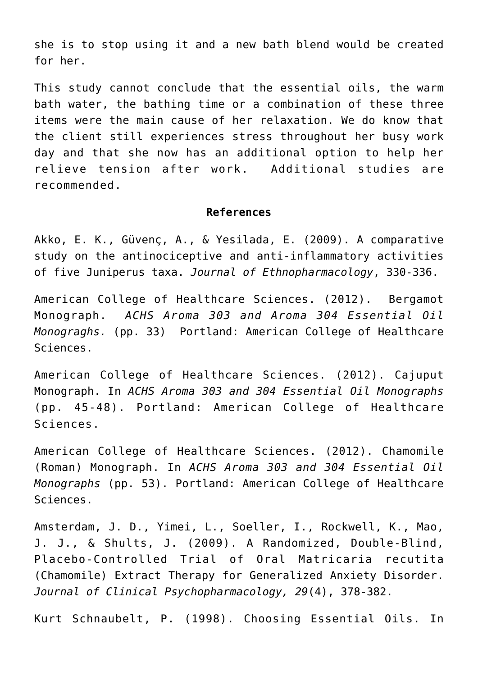she is to stop using it and a new bath blend would be created for her.

This study cannot conclude that the essential oils, the warm bath water, the bathing time or a combination of these three items were the main cause of her relaxation. We do know that the client still experiences stress throughout her busy work day and that she now has an additional option to help her relieve tension after work. Additional studies are recommended.

#### **References**

Akko, E. K., Güvenç, A., & Yesilada, E. (2009). A comparative study on the antinociceptive and anti-inflammatory activities of five Juniperus taxa. *Journal of Ethnopharmacology*, 330-336.

American College of Healthcare Sciences. (2012). Bergamot Monograph. *ACHS Aroma 303 and Aroma 304 Essential Oil Monograghs.* (pp. 33) Portland: American College of Healthcare Sciences.

American College of Healthcare Sciences. (2012). Cajuput Monograph. In *ACHS Aroma 303 and 304 Essential Oil Monographs* (pp. 45-48). Portland: American College of Healthcare Sciences.

American College of Healthcare Sciences. (2012). Chamomile (Roman) Monograph. In *ACHS Aroma 303 and 304 Essential Oil Monographs* (pp. 53). Portland: American College of Healthcare Sciences.

Amsterdam, J. D., Yimei, L., Soeller, I., Rockwell, K., Mao, J. J., & Shults, J. (2009). A Randomized, Double-Blind, Placebo-Controlled Trial of Oral Matricaria recutita (Chamomile) Extract Therapy for Generalized Anxiety Disorder. *Journal of Clinical Psychopharmacology, 29*(4), 378-382.

Kurt Schnaubelt, P. (1998). Choosing Essential Oils. In